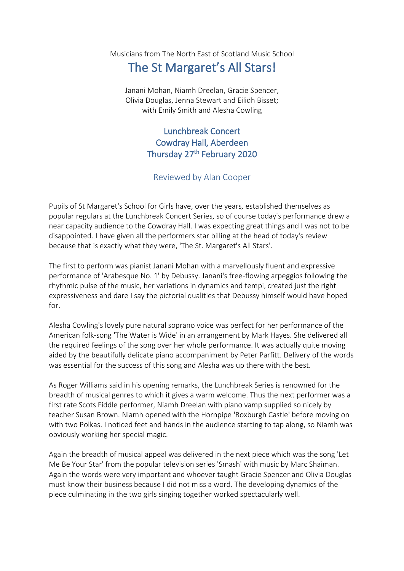Musicians from The North East of Scotland Music School

## The St Margaret's All Stars!

Janani Mohan, Niamh Dreelan, Gracie Spencer, Olivia Douglas, Jenna Stewart and Eilidh Bisset; with Emily Smith and Alesha Cowling

## Lunchbreak Concert Cowdray Hall, Aberdeen Thursday 27<sup>th</sup> February 2020

## Reviewed by Alan Cooper

Pupils of St Margaret's School for Girls have, over the years, established themselves as popular regulars at the Lunchbreak Concert Series, so of course today's performance drew a near capacity audience to the Cowdray Hall. I was expecting great things and I was not to be disappointed. I have given all the performers star billing at the head of today's review because that is exactly what they were, 'The St. Margaret's All Stars'.

The first to perform was pianist Janani Mohan with a marvellously fluent and expressive performance of 'Arabesque No. 1' by Debussy. Janani's free-flowing arpeggios following the rhythmic pulse of the music, her variations in dynamics and tempi, created just the right expressiveness and dare I say the pictorial qualities that Debussy himself would have hoped for.

Alesha Cowling's lovely pure natural soprano voice was perfect for her performance of the American folk-song 'The Water is Wide' in an arrangement by Mark Hayes. She delivered all the required feelings of the song over her whole performance. It was actually quite moving aided by the beautifully delicate piano accompaniment by Peter Parfitt. Delivery of the words was essential for the success of this song and Alesha was up there with the best.

As Roger Williams said in his opening remarks, the Lunchbreak Series is renowned for the breadth of musical genres to which it gives a warm welcome. Thus the next performer was a first rate Scots Fiddle performer, Niamh Dreelan with piano vamp supplied so nicely by teacher Susan Brown. Niamh opened with the Hornpipe 'Roxburgh Castle' before moving on with two Polkas. I noticed feet and hands in the audience starting to tap along, so Niamh was obviously working her special magic.

Again the breadth of musical appeal was delivered in the next piece which was the song 'Let Me Be Your Star' from the popular television series 'Smash' with music by Marc Shaiman. Again the words were very important and whoever taught Gracie Spencer and Olivia Douglas must know their business because I did not miss a word. The developing dynamics of the piece culminating in the two girls singing together worked spectacularly well.